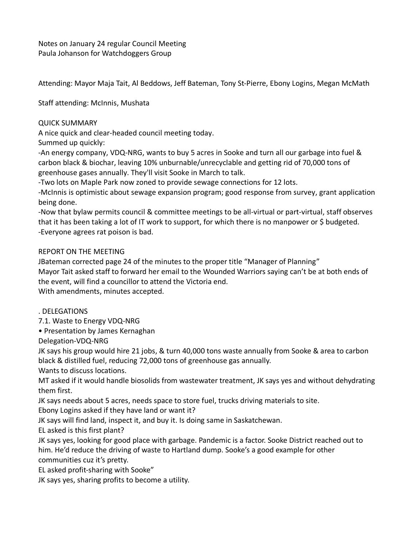Notes on January 24 regular Council Meeting Paula Johanson for Watchdoggers Group

Attending: Mayor Maja Tait, Al Beddows, Jeff Bateman, Tony St-Pierre, Ebony Logins, Megan McMath

Staff attending: McInnis, Mushata

## QUICK SUMMARY

A nice quick and clear-headed council meeting today.

Summed up quickly:

-An energy company, VDQ-NRG, wants to buy 5 acres in Sooke and turn all our garbage into fuel & carbon black & biochar, leaving 10% unburnable/unrecyclable and getting rid of 70,000 tons of greenhouse gases annually. They'll visit Sooke in March to talk.

-Two lots on Maple Park now zoned to provide sewage connections for 12 lots.

-McInnis is optimistic about sewage expansion program; good response from survey, grant application being done.

-Now that bylaw permits council & committee meetings to be all-virtual or part-virtual, staff observes that it has been taking a lot of IT work to support, for which there is no manpower or \$ budgeted. -Everyone agrees rat poison is bad.

# REPORT ON THE MEETING

JBateman corrected page 24 of the minutes to the proper title "Manager of Planning" Mayor Tait asked staff to forward her email to the Wounded Warriors saying can't be at both ends of the event, will find a councillor to attend the Victoria end. With amendments, minutes accepted.

# . DELEGATIONS

7.1. Waste to Energy VDQ-NRG

• Presentation by James Kernaghan

Delegation-VDQ-NRG

JK says his group would hire 21 jobs, & turn 40,000 tons waste annually from Sooke & area to carbon black & distilled fuel, reducing 72,000 tons of greenhouse gas annually.

Wants to discuss locations.

MT asked if it would handle biosolids from wastewater treatment, JK says yes and without dehydrating them first.

JK says needs about 5 acres, needs space to store fuel, trucks driving materials to site.

Ebony Logins asked if they have land or want it?

JK says will find land, inspect it, and buy it. Is doing same in Saskatchewan.

EL asked is this first plant?

JK says yes, looking for good place with garbage. Pandemic is a factor. Sooke District reached out to him. He'd reduce the driving of waste to Hartland dump. Sooke's a good example for other communities cuz it's pretty.

EL asked profit-sharing with Sooke"

JK says yes, sharing profits to become a utility.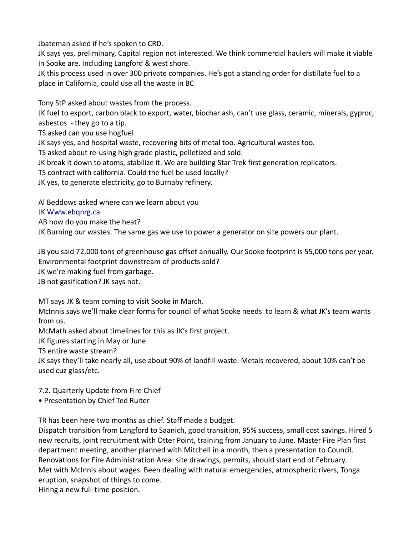Jbateman asked if he's spoken to CRD.

JK says yes, preliminary, Capital region not interested. We think commercial haulers will make it viable in Sooke are. Including Langford & west shore.

JK this process used in over 300 private companies. He's got a standing order for distillate fuel to a place in California, could use all the waste in BC

Tony StP asked about wastes from the process.

JK fuel to export, carbon black to export, water, biochar ash, can't use glass, ceramic, minerals, gyproc, asbestos - they go to a tip.

TS asked can you use hogfuel

JK says yes, and hospital waste, recovering bits of metal too. Agricultural wastes too.

TS asked about re-using high grade plastic, pelletized and sold.

JK break it down to atoms, stabilize it. We are building Star Trek first generation replicators.

TS contract with california. Could the fuel be used locally?

JK yes, to generate electricity, go to Burnaby refinery.

Al Beddows asked where can we learn about you

JK Www.ebqnrg.ca

AB how do you make the heat?

JK Burning our wastes. The same gas we use to power a generator on site powers our plant.

JB you said 72,000 tons of greenhouse gas offset annually. Our Sooke footprint is 55,000 tons per year. Environmental footprint downstream of products sold?

JK we're making fuel from garbage.

JB not gasification? JK says not.

MT says JK & team coming to visit Sooke in March.

McInnis says we'll make clear forms for council of what Sooke needs to learn & what JK's team wants from us.

McMath asked about timelines for this as JK's first project.

JK figures starting in May or June.

TS entire waste stream?

JK says they'll take nearly all, use about 90% of landfill waste. Metals recovered, about 10% can't be used cuz glass/etc.

7.2. Quarterly Update from Fire Chief

• Presentation by Chief Ted Ruiter

TR has been here two months as chief. Staff made a budget.

Dispatch transition from Langford to Saanich, good transition, 95% success, small cost savings. Hired 5 new recruits, joint recruitment with Otter Point, training from January to June. Master Fire Plan first department meeting, another planned with Mitchell in a month, then a presentation to Council. Renovations for Fire Administration Area: site drawings, permits, should start end of February. Met with McInnis about wages. Been dealing with natural emergencies, atmospheric rivers, Tonga eruption, snapshot of things to come.

Hiring a new full-time position.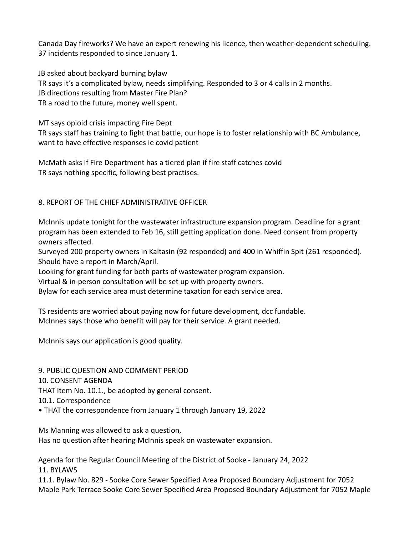Canada Day fireworks? We have an expert renewing his licence, then weather-dependent scheduling. 37 incidents responded to since January 1.

JB asked about backyard burning bylaw TR says it's a complicated bylaw, needs simplifying. Responded to 3 or 4 calls in 2 months. JB directions resulting from Master Fire Plan? TR a road to the future, money well spent.

MT says opioid crisis impacting Fire Dept TR says staff has training to fight that battle, our hope is to foster relationship with BC Ambulance, want to have effective responses ie covid patient

McMath asks if Fire Department has a tiered plan if fire staff catches covid TR says nothing specific, following best practises.

## 8. REPORT OF THE CHIEF ADMINISTRATIVE OFFICER

McInnis update tonight for the wastewater infrastructure expansion program. Deadline for a grant program has been extended to Feb 16, still getting application done. Need consent from property owners affected.

Surveyed 200 property owners in Kaltasin (92 responded) and 400 in Whiffin Spit (261 responded). Should have a report in March/April.

Looking for grant funding for both parts of wastewater program expansion.

Virtual & in-person consultation will be set up with property owners.

Bylaw for each service area must determine taxation for each service area.

TS residents are worried about paying now for future development, dcc fundable. McInnes says those who benefit will pay for their service. A grant needed.

McInnis says our application is good quality.

9. PUBLIC QUESTION AND COMMENT PERIOD

10. CONSENT AGENDA

THAT Item No. 10.1., be adopted by general consent.

10.1. Correspondence

• THAT the correspondence from January 1 through January 19, 2022

Ms Manning was allowed to ask a question,

Has no question after hearing McInnis speak on wastewater expansion.

Agenda for the Regular Council Meeting of the District of Sooke - January 24, 2022 11. BYLAWS

11.1. Bylaw No. 829 - Sooke Core Sewer Specified Area Proposed Boundary Adjustment for 7052 Maple Park Terrace Sooke Core Sewer Specified Area Proposed Boundary Adjustment for 7052 Maple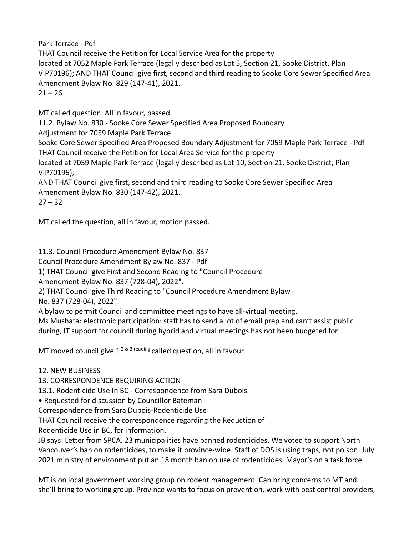Park Terrace - Pdf

THAT Council receive the Petition for Local Service Area for the property located at 7052 Maple Park Terrace (legally described as Lot 5, Section 21, Sooke District, Plan VIP70196); AND THAT Council give first, second and third reading to Sooke Core Sewer Specified Area Amendment Bylaw No. 829 (147-41), 2021.  $21 - 26$ 

MT called question. All in favour, passed.

11.2. Bylaw No. 830 - Sooke Core Sewer Specified Area Proposed Boundary

Adjustment for 7059 Maple Park Terrace

Sooke Core Sewer Specified Area Proposed Boundary Adjustment for 7059 Maple Park Terrace - Pdf THAT Council receive the Petition for Local Area Service for the property

located at 7059 Maple Park Terrace (legally described as Lot 10, Section 21, Sooke District, Plan VIP70196);

AND THAT Council give first, second and third reading to Sooke Core Sewer Specified Area Amendment Bylaw No. 830 (147-42), 2021.

 $27 - 32$ 

MT called the question, all in favour, motion passed.

11.3. Council Procedure Amendment Bylaw No. 837

Council Procedure Amendment Bylaw No. 837 - Pdf

1) THAT Council give First and Second Reading to "Council Procedure

Amendment Bylaw No. 837 (728-04), 2022".

2) THAT Council give Third Reading to "Council Procedure Amendment Bylaw No. 837 (728-04), 2022".

A bylaw to permit Council and committee meetings to have all-virtual meeting,

Ms Mushata: electronic participation: staff has to send a lot of email prep and can't assist public during, IT support for council during hybrid and virtual meetings has not been budgeted for.

MT moved council give  $1^{2 \& 3 \text{ reading}}$  called question, all in favour.

# 12. NEW BUSINESS

13. CORRESPONDENCE REQUIRING ACTION

13.1. Rodenticide Use In BC - Correspondence from Sara Dubois

• Requested for discussion by Councillor Bateman

Correspondence from Sara Dubois-Rodenticide Use

THAT Council receive the correspondence regarding the Reduction of

Rodenticide Use in BC, for information.

JB says: Letter from SPCA. 23 municipalities have banned rodenticides. We voted to support North Vancouver's ban on rodenticides, to make it province-wide. Staff of DOS is using traps, not poison. July 2021 ministry of environment put an 18 month ban on use of rodenticides. Mayor's on a task force.

MT is on local government working group on rodent management. Can bring concerns to MT and she'll bring to working group. Province wants to focus on prevention, work with pest control providers,